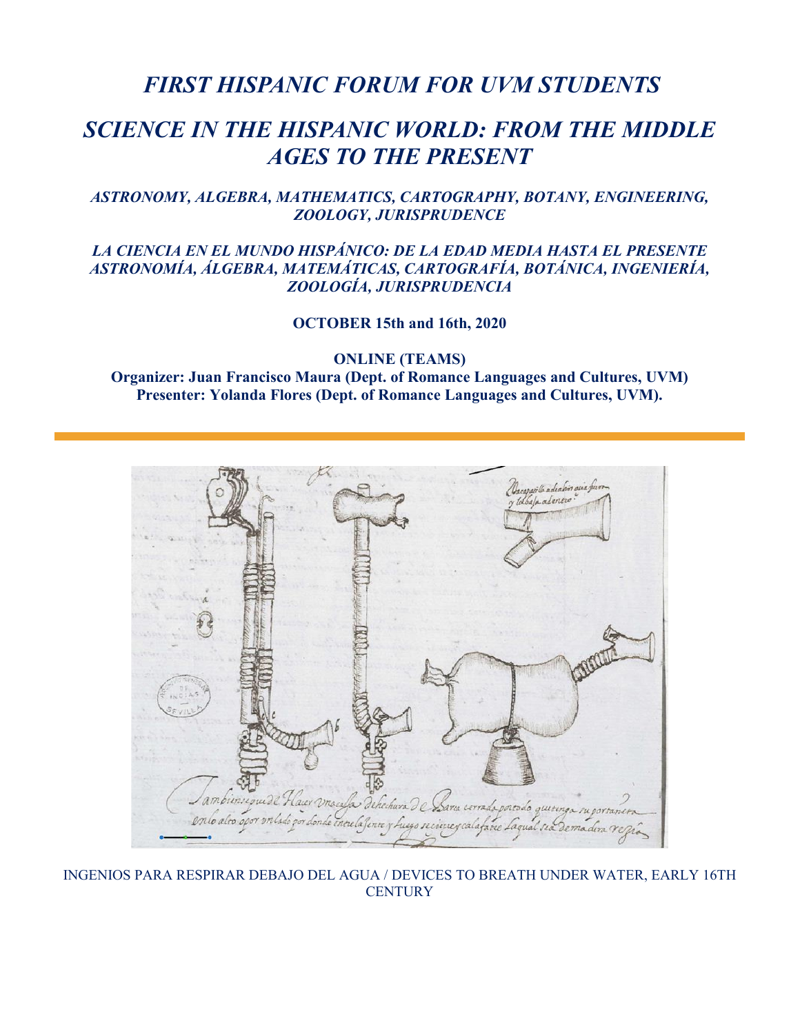## *FIRST HISPANIC FORUM FOR UVM STUDENTS*

## *SCIENCE IN THE HISPANIC WORLD: FROM THE MIDDLE AGES TO THE PRESENT*

### *ASTRONOMY, ALGEBRA, MATHEMATICS, CARTOGRAPHY, BOTANY, ENGINEERING, ZOOLOGY, JURISPRUDENCE*

### *LA CIENCIA EN EL MUNDO HISPÁNICO: DE LA EDAD MEDIA HASTA EL PRESENTE ASTRONOMÍA, ÁLGEBRA, MATEMÁTICAS, CARTOGRAFÍA, BOTÁNICA, INGENIERÍA, ZOOLOGÍA, JURISPRUDENCIA*

**OCTOBER 15th and 16th, 2020**

**ONLINE (TEAMS)**

**Organizer: Juan Francisco Maura (Dept. of Romance Languages and Cultures, UVM) Presenter: Yolanda Flores (Dept. of Romance Languages and Cultures, UVM).**



INGENIOS PARA RESPIRAR DEBAJO DEL AGUA / DEVICES TO BREATH UNDER WATER, EARLY 16TH **CENTURY**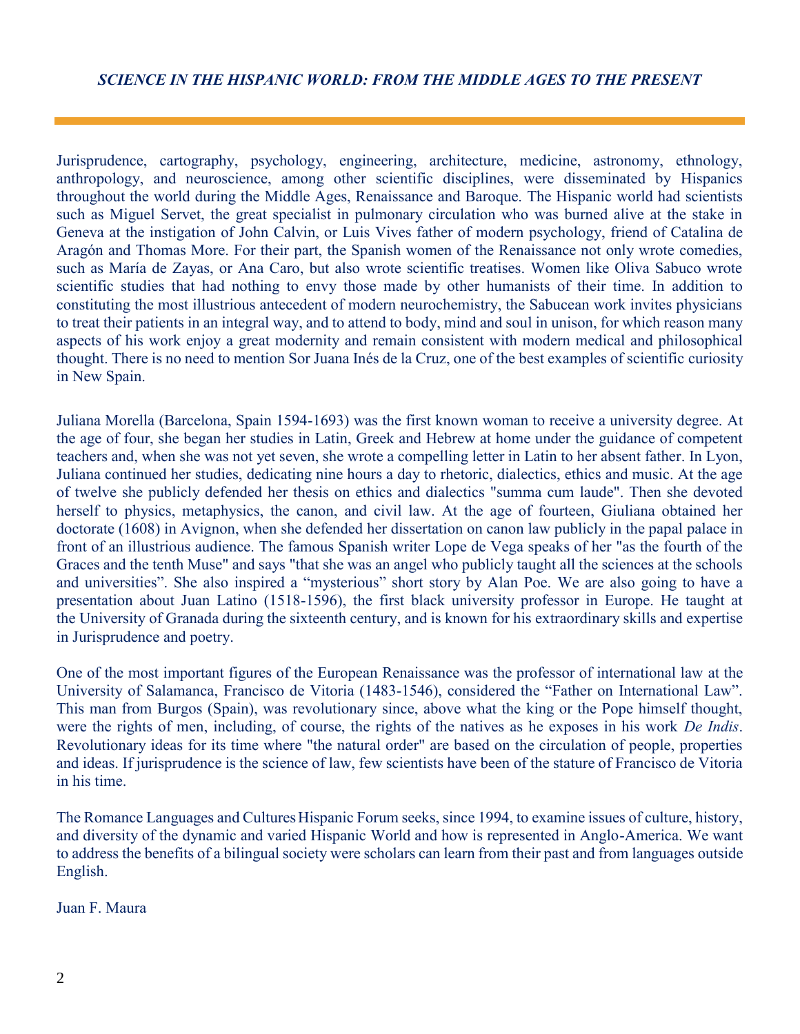### *SCIENCE IN THE HISPANIC WORLD: FROM THE MIDDLE AGES TO THE PRESENT*

Jurisprudence, cartography, psychology, engineering, architecture, medicine, astronomy, ethnology, anthropology, and neuroscience, among other scientific disciplines, were disseminated by Hispanics throughout the world during the Middle Ages, Renaissance and Baroque. The Hispanic world had scientists such as Miguel Servet, the great specialist in pulmonary circulation who was burned alive at the stake in Geneva at the instigation of John Calvin, or Luis Vives father of modern psychology, friend of Catalina de Aragón and Thomas More. For their part, the Spanish women of the Renaissance not only wrote comedies, such as María de Zayas, or Ana Caro, but also wrote scientific treatises. Women like Oliva Sabuco wrote scientific studies that had nothing to envy those made by other humanists of their time. In addition to constituting the most illustrious antecedent of modern neurochemistry, the Sabucean work invites physicians to treat their patients in an integral way, and to attend to body, mind and soul in unison, for which reason many aspects of his work enjoy a great modernity and remain consistent with modern medical and philosophical thought. There is no need to mention Sor Juana Inés de la Cruz, one of the best examples of scientific curiosity in New Spain.

Juliana Morella (Barcelona, Spain 1594-1693) was the first known woman to receive a university degree. At the age of four, she began her studies in Latin, Greek and Hebrew at home under the guidance of competent teachers and, when she was not yet seven, she wrote a compelling letter in Latin to her absent father. In Lyon, Juliana continued her studies, dedicating nine hours a day to rhetoric, dialectics, ethics and music. At the age of twelve she publicly defended her thesis on ethics and dialectics "summa cum laude". Then she devoted herself to physics, metaphysics, the canon, and civil law. At the age of fourteen, Giuliana obtained her doctorate (1608) in Avignon, when she defended her dissertation on canon law publicly in the papal palace in front of an illustrious audience. The famous Spanish writer Lope de Vega speaks of her "as the fourth of the Graces and the tenth Muse" and says "that she was an angel who publicly taught all the sciences at the schools and universities". She also inspired a "mysterious" short story by Alan Poe. We are also going to have a presentation about Juan Latino (1518-1596), the first black university professor in Europe. He taught at the University of Granada during the sixteenth century, and is known for his extraordinary skills and expertise in Jurisprudence and poetry.

One of the most important figures of the European Renaissance was the professor of international law at the University of Salamanca, Francisco de Vitoria (1483-1546), considered the "Father on International Law". This man from Burgos (Spain), was revolutionary since, above what the king or the Pope himself thought, were the rights of men, including, of course, the rights of the natives as he exposes in his work *De Indis*. Revolutionary ideas for its time where "the natural order" are based on the circulation of people, properties and ideas. If jurisprudence is the science of law, few scientists have been of the stature of Francisco de Vitoria in his time.

The Romance Languages and Cultures Hispanic Forum seeks, since 1994, to examine issues of culture, history, and diversity of the dynamic and varied Hispanic World and how is represented in Anglo-America. We want to address the benefits of a bilingual society were scholars can learn from their past and from languages outside English.

Juan F. Maura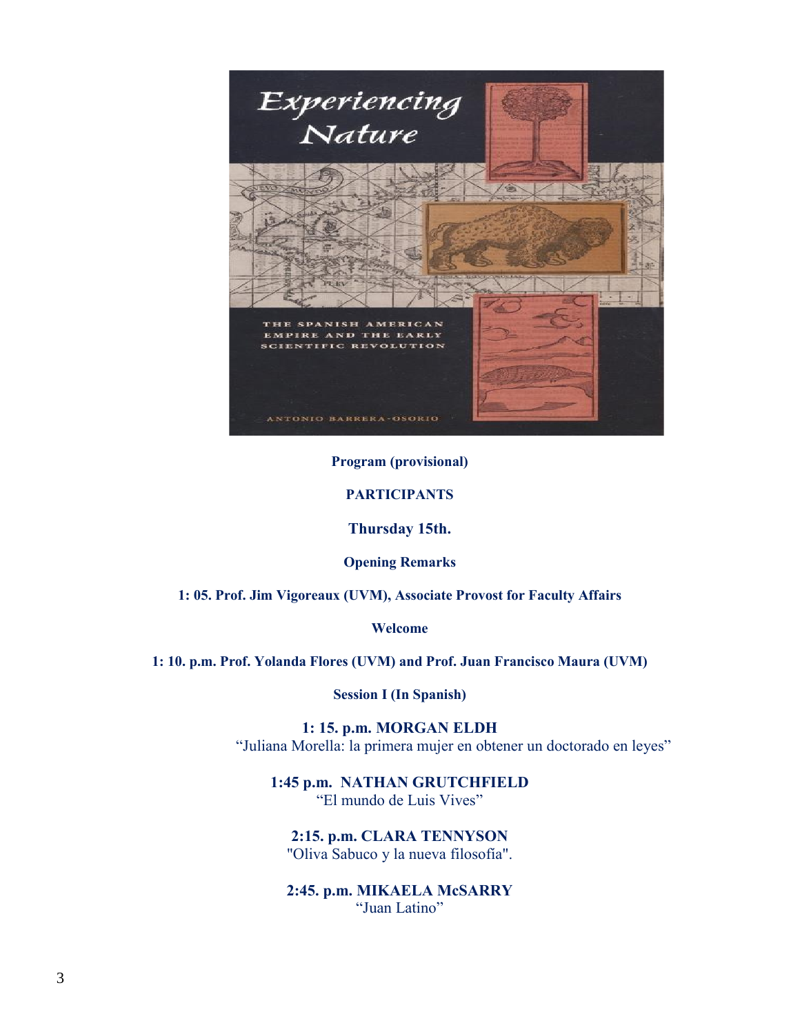

#### **Program (provisional)**

#### **PARTICIPANTS**

**Thursday 15th.** 

**Opening Remarks**

**1: 05. Prof. Jim Vigoreaux (UVM), Associate Provost for Faculty Affairs**

**Welcome**

**1: 10. p.m. Prof. Yolanda Flores (UVM) and Prof. Juan Francisco Maura (UVM)**

**Session I (In Spanish)**

**1: 15. p.m. MORGAN ELDH** "Juliana Morella: la primera mujer en obtener un doctorado en leyes"

**1:45 p.m. NATHAN GRUTCHFIELD** "El mundo de Luis Vives"

**2:15. p.m. CLARA TENNYSON** "Oliva Sabuco y la nueva filosofía".

**2:45. p.m. MIKAELA McSARRY** "Juan Latino"